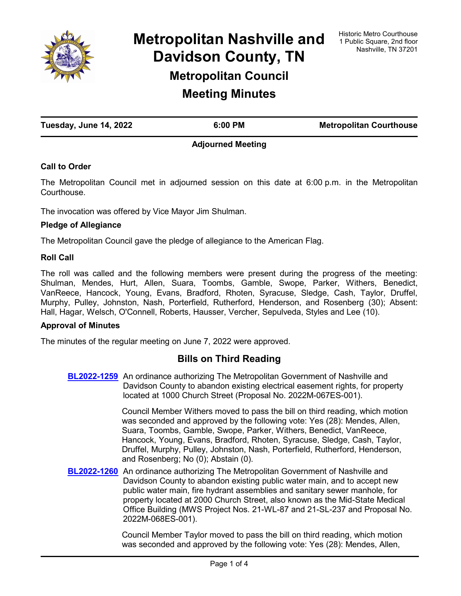

**Metropolitan Nashville and Davidson County, TN Metropolitan Council Meeting Minutes**

**Tuesday, June 14, 2022 6:00 PM Metropolitan Courthouse**

## **Adjourned Meeting**

## **Call to Order**

The Metropolitan Council met in adjourned session on this date at 6:00 p.m. in the Metropolitan Courthouse.

The invocation was offered by Vice Mayor Jim Shulman.

#### **Pledge of Allegiance**

The Metropolitan Council gave the pledge of allegiance to the American Flag.

#### **Roll Call**

The roll was called and the following members were present during the progress of the meeting: Shulman, Mendes, Hurt, Allen, Suara, Toombs, Gamble, Swope, Parker, Withers, Benedict, VanReece, Hancock, Young, Evans, Bradford, Rhoten, Syracuse, Sledge, Cash, Taylor, Druffel, Murphy, Pulley, Johnston, Nash, Porterfield, Rutherford, Henderson, and Rosenberg (30); Absent: Hall, Hagar, Welsch, O'Connell, Roberts, Hausser, Vercher, Sepulveda, Styles and Lee (10).

#### **Approval of Minutes**

The minutes of the regular meeting on June 7, 2022 were approved.

# **Bills on Third Reading**

**[BL2022-1259](http://nashville.legistar.com/gateway.aspx?m=l&id=/matter.aspx?key=14446)** An ordinance authorizing The Metropolitan Government of Nashville and Davidson County to abandon existing electrical easement rights, for property located at 1000 Church Street (Proposal No. 2022M-067ES-001).

> Council Member Withers moved to pass the bill on third reading, which motion was seconded and approved by the following vote: Yes (28): Mendes, Allen, Suara, Toombs, Gamble, Swope, Parker, Withers, Benedict, VanReece, Hancock, Young, Evans, Bradford, Rhoten, Syracuse, Sledge, Cash, Taylor, Druffel, Murphy, Pulley, Johnston, Nash, Porterfield, Rutherford, Henderson, and Rosenberg; No (0); Abstain (0).

**[BL2022-1260](http://nashville.legistar.com/gateway.aspx?m=l&id=/matter.aspx?key=14469)** An ordinance authorizing The Metropolitan Government of Nashville and Davidson County to abandon existing public water main, and to accept new public water main, fire hydrant assemblies and sanitary sewer manhole, for property located at 2000 Church Street, also known as the Mid-State Medical Office Building (MWS Project Nos. 21-WL-87 and 21-SL-237 and Proposal No. 2022M-068ES-001).

> Council Member Taylor moved to pass the bill on third reading, which motion was seconded and approved by the following vote: Yes (28): Mendes, Allen,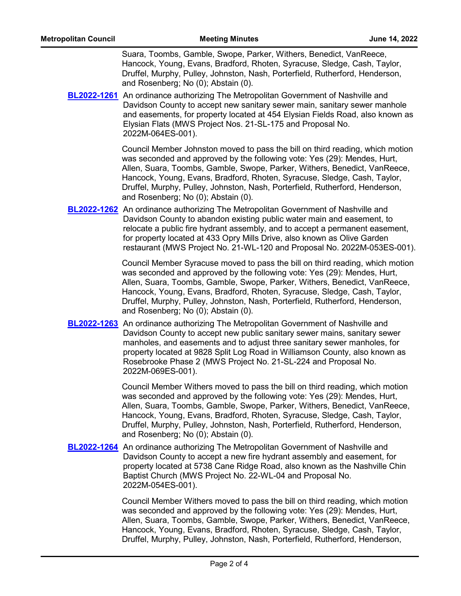Suara, Toombs, Gamble, Swope, Parker, Withers, Benedict, VanReece, Hancock, Young, Evans, Bradford, Rhoten, Syracuse, Sledge, Cash, Taylor, Druffel, Murphy, Pulley, Johnston, Nash, Porterfield, Rutherford, Henderson, and Rosenberg; No (0); Abstain (0).

**[BL2022-1261](http://nashville.legistar.com/gateway.aspx?m=l&id=/matter.aspx?key=14470)** An ordinance authorizing The Metropolitan Government of Nashville and Davidson County to accept new sanitary sewer main, sanitary sewer manhole and easements, for property located at 454 Elysian Fields Road, also known as Elysian Flats (MWS Project Nos. 21-SL-175 and Proposal No. 2022M-064ES-001).

> Council Member Johnston moved to pass the bill on third reading, which motion was seconded and approved by the following vote: Yes (29): Mendes, Hurt, Allen, Suara, Toombs, Gamble, Swope, Parker, Withers, Benedict, VanReece, Hancock, Young, Evans, Bradford, Rhoten, Syracuse, Sledge, Cash, Taylor, Druffel, Murphy, Pulley, Johnston, Nash, Porterfield, Rutherford, Henderson, and Rosenberg; No (0); Abstain (0).

**[BL2022-1262](http://nashville.legistar.com/gateway.aspx?m=l&id=/matter.aspx?key=14471)** An ordinance authorizing The Metropolitan Government of Nashville and Davidson County to abandon existing public water main and easement, to relocate a public fire hydrant assembly, and to accept a permanent easement, for property located at 433 Opry Mills Drive, also known as Olive Garden restaurant (MWS Project No. 21-WL-120 and Proposal No. 2022M-053ES-001).

> Council Member Syracuse moved to pass the bill on third reading, which motion was seconded and approved by the following vote: Yes (29): Mendes, Hurt, Allen, Suara, Toombs, Gamble, Swope, Parker, Withers, Benedict, VanReece, Hancock, Young, Evans, Bradford, Rhoten, Syracuse, Sledge, Cash, Taylor, Druffel, Murphy, Pulley, Johnston, Nash, Porterfield, Rutherford, Henderson, and Rosenberg; No (0); Abstain (0).

**[BL2022-1263](http://nashville.legistar.com/gateway.aspx?m=l&id=/matter.aspx?key=14472)** An ordinance authorizing The Metropolitan Government of Nashville and Davidson County to accept new public sanitary sewer mains, sanitary sewer manholes, and easements and to adjust three sanitary sewer manholes, for property located at 9828 Split Log Road in Williamson County, also known as Rosebrooke Phase 2 (MWS Project No. 21-SL-224 and Proposal No. 2022M-069ES-001).

> Council Member Withers moved to pass the bill on third reading, which motion was seconded and approved by the following vote: Yes (29): Mendes, Hurt, Allen, Suara, Toombs, Gamble, Swope, Parker, Withers, Benedict, VanReece, Hancock, Young, Evans, Bradford, Rhoten, Syracuse, Sledge, Cash, Taylor, Druffel, Murphy, Pulley, Johnston, Nash, Porterfield, Rutherford, Henderson, and Rosenberg; No (0); Abstain (0).

**[BL2022-1264](http://nashville.legistar.com/gateway.aspx?m=l&id=/matter.aspx?key=14473)** An ordinance authorizing The Metropolitan Government of Nashville and Davidson County to accept a new fire hydrant assembly and easement, for property located at 5738 Cane Ridge Road, also known as the Nashville Chin Baptist Church (MWS Project No. 22-WL-04 and Proposal No. 2022M-054ES-001).

> Council Member Withers moved to pass the bill on third reading, which motion was seconded and approved by the following vote: Yes (29): Mendes, Hurt, Allen, Suara, Toombs, Gamble, Swope, Parker, Withers, Benedict, VanReece, Hancock, Young, Evans, Bradford, Rhoten, Syracuse, Sledge, Cash, Taylor, Druffel, Murphy, Pulley, Johnston, Nash, Porterfield, Rutherford, Henderson,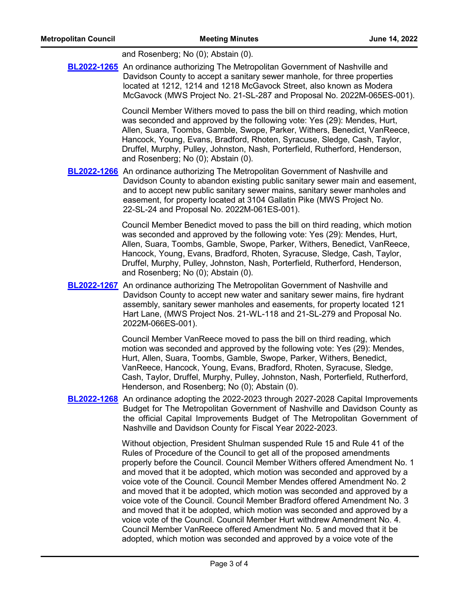| and Rosenberg; No (0); Abstain (0). |  |  |
|-------------------------------------|--|--|
|-------------------------------------|--|--|

**[BL2022-1265](http://nashville.legistar.com/gateway.aspx?m=l&id=/matter.aspx?key=14474)** An ordinance authorizing The Metropolitan Government of Nashville and Davidson County to accept a sanitary sewer manhole, for three properties located at 1212, 1214 and 1218 McGavock Street, also known as Modera McGavock (MWS Project No. 21-SL-287 and Proposal No. 2022M-065ES-001).

> Council Member Withers moved to pass the bill on third reading, which motion was seconded and approved by the following vote: Yes (29): Mendes, Hurt, Allen, Suara, Toombs, Gamble, Swope, Parker, Withers, Benedict, VanReece, Hancock, Young, Evans, Bradford, Rhoten, Syracuse, Sledge, Cash, Taylor, Druffel, Murphy, Pulley, Johnston, Nash, Porterfield, Rutherford, Henderson, and Rosenberg; No (0); Abstain (0).

**[BL2022-1266](http://nashville.legistar.com/gateway.aspx?m=l&id=/matter.aspx?key=14475)** An ordinance authorizing The Metropolitan Government of Nashville and Davidson County to abandon existing public sanitary sewer main and easement, and to accept new public sanitary sewer mains, sanitary sewer manholes and easement, for property located at 3104 Gallatin Pike (MWS Project No. 22-SL-24 and Proposal No. 2022M-061ES-001).

> Council Member Benedict moved to pass the bill on third reading, which motion was seconded and approved by the following vote: Yes (29): Mendes, Hurt, Allen, Suara, Toombs, Gamble, Swope, Parker, Withers, Benedict, VanReece, Hancock, Young, Evans, Bradford, Rhoten, Syracuse, Sledge, Cash, Taylor, Druffel, Murphy, Pulley, Johnston, Nash, Porterfield, Rutherford, Henderson, and Rosenberg; No (0); Abstain (0).

**[BL2022-1267](http://nashville.legistar.com/gateway.aspx?m=l&id=/matter.aspx?key=14476)** An ordinance authorizing The Metropolitan Government of Nashville and Davidson County to accept new water and sanitary sewer mains, fire hydrant assembly, sanitary sewer manholes and easements, for property located 121 Hart Lane, (MWS Project Nos. 21-WL-118 and 21-SL-279 and Proposal No. 2022M-066ES-001).

> Council Member VanReece moved to pass the bill on third reading, which motion was seconded and approved by the following vote: Yes (29): Mendes, Hurt, Allen, Suara, Toombs, Gamble, Swope, Parker, Withers, Benedict, VanReece, Hancock, Young, Evans, Bradford, Rhoten, Syracuse, Sledge, Cash, Taylor, Druffel, Murphy, Pulley, Johnston, Nash, Porterfield, Rutherford, Henderson, and Rosenberg; No (0); Abstain (0).

[BL2022-1268](http://nashville.legistar.com/gateway.aspx?m=l&id=/matter.aspx?key=14516) An ordinance adopting the 2022-2023 through 2027-2028 Capital Improvements Budget for The Metropolitan Government of Nashville and Davidson County as the official Capital Improvements Budget of The Metropolitan Government of Nashville and Davidson County for Fiscal Year 2022-2023.

> Without objection, President Shulman suspended Rule 15 and Rule 41 of the Rules of Procedure of the Council to get all of the proposed amendments properly before the Council. Council Member Withers offered Amendment No. 1 and moved that it be adopted, which motion was seconded and approved by a voice vote of the Council. Council Member Mendes offered Amendment No. 2 and moved that it be adopted, which motion was seconded and approved by a voice vote of the Council. Council Member Bradford offered Amendment No. 3 and moved that it be adopted, which motion was seconded and approved by a voice vote of the Council. Council Member Hurt withdrew Amendment No. 4. Council Member VanReece offered Amendment No. 5 and moved that it be adopted, which motion was seconded and approved by a voice vote of the